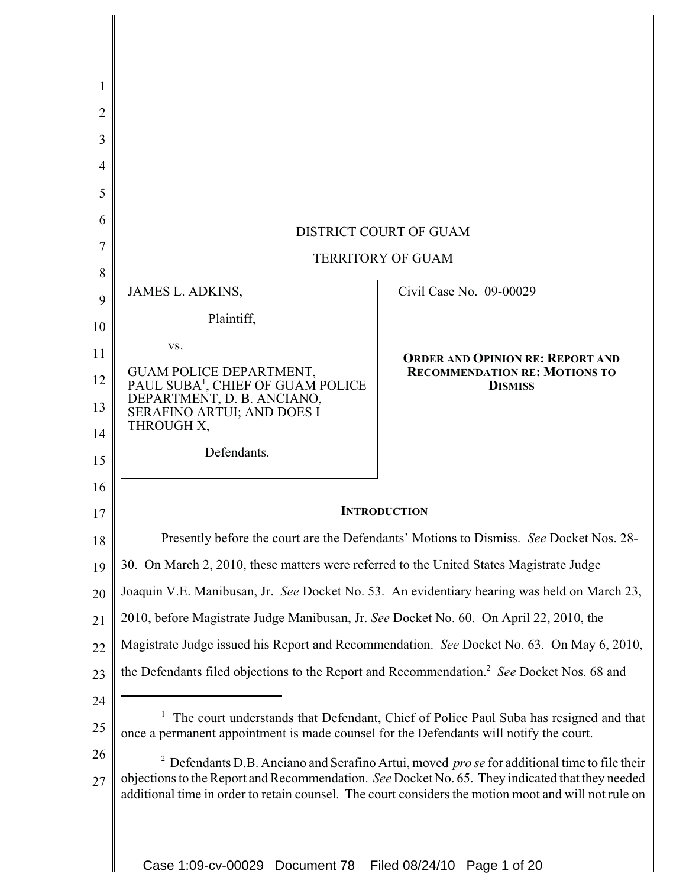| 1              |                                                                                                       |                                                                                                                                                                                                         |
|----------------|-------------------------------------------------------------------------------------------------------|---------------------------------------------------------------------------------------------------------------------------------------------------------------------------------------------------------|
| $\overline{2}$ |                                                                                                       |                                                                                                                                                                                                         |
| 3              |                                                                                                       |                                                                                                                                                                                                         |
| 4              |                                                                                                       |                                                                                                                                                                                                         |
| 5              |                                                                                                       |                                                                                                                                                                                                         |
| 6              |                                                                                                       | DISTRICT COURT OF GUAM                                                                                                                                                                                  |
| 7              |                                                                                                       | <b>TERRITORY OF GUAM</b>                                                                                                                                                                                |
| 8              |                                                                                                       |                                                                                                                                                                                                         |
| 9              | <b>JAMES L. ADKINS,</b>                                                                               | Civil Case No. 09-00029                                                                                                                                                                                 |
| 10             | Plaintiff,                                                                                            |                                                                                                                                                                                                         |
| 11             | VS.                                                                                                   | <b>ORDER AND OPINION RE: REPORT AND</b>                                                                                                                                                                 |
| 12             | GUAM POLICE DEPARTMENT, PAUL SUBA <sup>1</sup> , CHIEF OF GUAM POLICE                                 | <b>RECOMMENDATION RE: MOTIONS TO</b><br><b>DISMISS</b>                                                                                                                                                  |
| 13             | DEPARTMENT, D. B. ANCIANO,<br>SERAFINO ARTUI; AND DOES I                                              |                                                                                                                                                                                                         |
| 14             | THROUGH X,                                                                                            |                                                                                                                                                                                                         |
| 15             | Defendants.                                                                                           |                                                                                                                                                                                                         |
| 16             |                                                                                                       |                                                                                                                                                                                                         |
| 17             |                                                                                                       | <b>INTRODUCTION</b>                                                                                                                                                                                     |
| 18             |                                                                                                       | Presently before the court are the Defendants' Motions to Dismiss. See Docket Nos. 28-                                                                                                                  |
| 19             | 30. On March 2, 2010, these matters were referred to the United States Magistrate Judge               |                                                                                                                                                                                                         |
| 20             |                                                                                                       | Joaquin V.E. Manibusan, Jr. See Docket No. 53. An evidentiary hearing was held on March 23,                                                                                                             |
| 21             | 2010, before Magistrate Judge Manibusan, Jr. See Docket No. 60. On April 22, 2010, the                |                                                                                                                                                                                                         |
| 22             |                                                                                                       | Magistrate Judge issued his Report and Recommendation. See Docket No. 63. On May 6, 2010,                                                                                                               |
| 23             | the Defendants filed objections to the Report and Recommendation. <sup>2</sup> See Docket Nos. 68 and |                                                                                                                                                                                                         |
| 24             |                                                                                                       |                                                                                                                                                                                                         |
| 25             | once a permanent appointment is made counsel for the Defendants will notify the court.                | The court understands that Defendant, Chief of Police Paul Suba has resigned and that                                                                                                                   |
| 26             |                                                                                                       | $2$ Defendants D.B. Anciano and Serafino Artui, moved <i>pro se</i> for additional time to file their                                                                                                   |
| 27             |                                                                                                       | objections to the Report and Recommendation. See Docket No. 65. They indicated that they needed<br>additional time in order to retain counsel. The court considers the motion moot and will not rule on |
|                |                                                                                                       |                                                                                                                                                                                                         |

 $\mathbf I$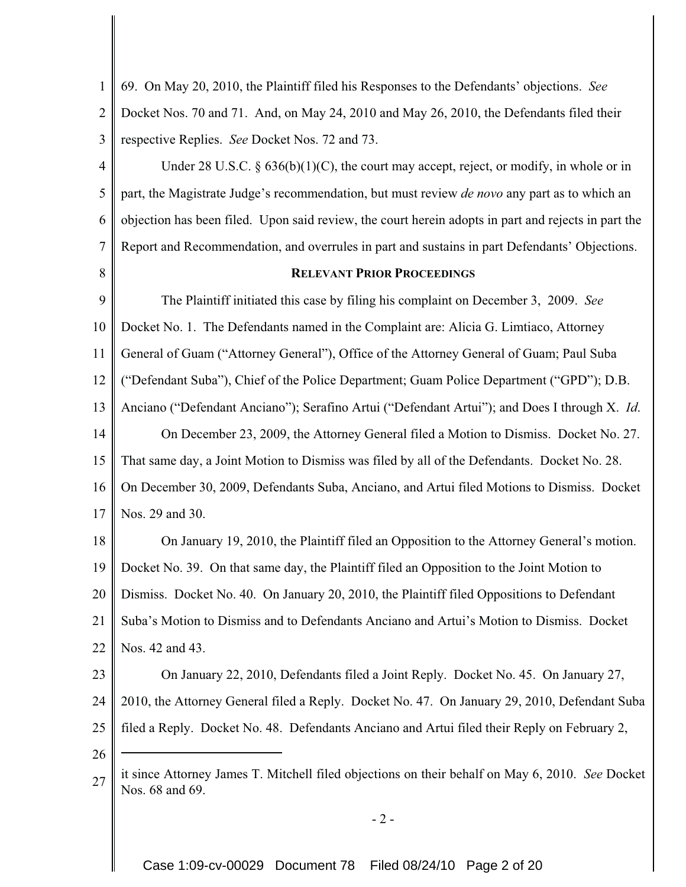| $\mathbf{1}$   | 69. On May 20, 2010, the Plaintiff filed his Responses to the Defendants' objections. See                          |
|----------------|--------------------------------------------------------------------------------------------------------------------|
| $\overline{2}$ | Docket Nos. 70 and 71. And, on May 24, 2010 and May 26, 2010, the Defendants filed their                           |
| 3              | respective Replies. See Docket Nos. 72 and 73.                                                                     |
| 4              | Under 28 U.S.C. $\S$ 636(b)(1)(C), the court may accept, reject, or modify, in whole or in                         |
| 5              | part, the Magistrate Judge's recommendation, but must review <i>de novo</i> any part as to which an                |
| 6              | objection has been filed. Upon said review, the court herein adopts in part and rejects in part the                |
| 7              | Report and Recommendation, and overrules in part and sustains in part Defendants' Objections.                      |
| 8              | <b>RELEVANT PRIOR PROCEEDINGS</b>                                                                                  |
| 9              | The Plaintiff initiated this case by filing his complaint on December 3, 2009. See                                 |
| 10             | Docket No. 1. The Defendants named in the Complaint are: Alicia G. Limtiaco, Attorney                              |
| 11             | General of Guam ("Attorney General"), Office of the Attorney General of Guam; Paul Suba                            |
| 12             | ("Defendant Suba"), Chief of the Police Department; Guam Police Department ("GPD"); D.B.                           |
| 13             | Anciano ("Defendant Anciano"); Serafino Artui ("Defendant Artui"); and Does I through X. Id.                       |
| 14             | On December 23, 2009, the Attorney General filed a Motion to Dismiss. Docket No. 27.                               |
| 15             | That same day, a Joint Motion to Dismiss was filed by all of the Defendants. Docket No. 28.                        |
| 16             | On December 30, 2009, Defendants Suba, Anciano, and Artui filed Motions to Dismiss. Docket                         |
| 17             | Nos. 29 and 30.                                                                                                    |
| 18             | On January 19, 2010, the Plaintiff filed an Opposition to the Attorney General's motion.                           |
| 19             | Docket No. 39. On that same day, the Plaintiff filed an Opposition to the Joint Motion to                          |
| 20             | Dismiss. Docket No. 40. On January 20, 2010, the Plaintiff filed Oppositions to Defendant                          |
| 21             | Suba's Motion to Dismiss and to Defendants Anciano and Artui's Motion to Dismiss. Docket                           |
| 22             | Nos. 42 and 43.                                                                                                    |
| 23             | On January 22, 2010, Defendants filed a Joint Reply. Docket No. 45. On January 27,                                 |
| 24             | 2010, the Attorney General filed a Reply. Docket No. 47. On January 29, 2010, Defendant Suba                       |
| 25             | filed a Reply. Docket No. 48. Defendants Anciano and Artui filed their Reply on February 2,                        |
| 26             |                                                                                                                    |
| 27             | it since Attorney James T. Mitchell filed objections on their behalf on May 6, 2010. See Docket<br>Nos. 68 and 69. |
|                | $-2-$                                                                                                              |
|                |                                                                                                                    |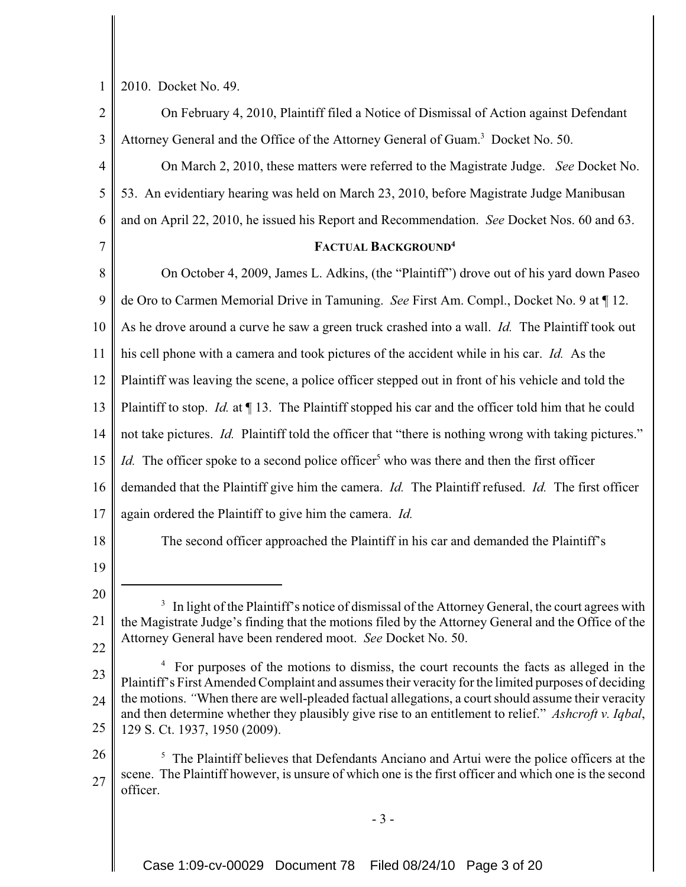|  |  | $1 \parallel 2010$ . Docket No. 49. |
|--|--|-------------------------------------|
|--|--|-------------------------------------|

| $\mathbf{2}$   | On February 4, 2010, Plaintiff filed a Notice of Dismissal of Action against Defendant                                                                                                        |
|----------------|-----------------------------------------------------------------------------------------------------------------------------------------------------------------------------------------------|
| 3              | Attorney General and the Office of the Attorney General of Guam. <sup>3</sup> Docket No. 50.                                                                                                  |
| $\overline{4}$ | On March 2, 2010, these matters were referred to the Magistrate Judge. See Docket No.                                                                                                         |
| 5              | 53. An evidentiary hearing was held on March 23, 2010, before Magistrate Judge Manibusan                                                                                                      |
| 6              | and on April 22, 2010, he issued his Report and Recommendation. See Docket Nos. 60 and 63.                                                                                                    |
| 7              | FACTUAL BACKGROUND <sup>4</sup>                                                                                                                                                               |
| 8              | On October 4, 2009, James L. Adkins, (the "Plaintiff") drove out of his yard down Paseo                                                                                                       |
| 9              | de Oro to Carmen Memorial Drive in Tamuning. See First Am. Compl., Docket No. 9 at ¶ 12.                                                                                                      |
| 10             | As he drove around a curve he saw a green truck crashed into a wall. <i>Id.</i> The Plaintiff took out                                                                                        |
| 11             | his cell phone with a camera and took pictures of the accident while in his car. Id. As the                                                                                                   |
| 12             | Plaintiff was leaving the scene, a police officer stepped out in front of his vehicle and told the                                                                                            |
| 13             | Plaintiff to stop. <i>Id.</i> at $\P$ 13. The Plaintiff stopped his car and the officer told him that he could                                                                                |
| 14             | not take pictures. <i>Id.</i> Plaintiff told the officer that "there is nothing wrong with taking pictures."                                                                                  |
| 15             | <i>Id.</i> The officer spoke to a second police officer <sup>5</sup> who was there and then the first officer                                                                                 |
| 16             | demanded that the Plaintiff give him the camera. <i>Id.</i> The Plaintiff refused. <i>Id.</i> The first officer                                                                               |
| 17             | again ordered the Plaintiff to give him the camera. Id.                                                                                                                                       |
| 18             | The second officer approached the Plaintiff in his car and demanded the Plaintiff's                                                                                                           |
| 19             |                                                                                                                                                                                               |
| 20             | <sup>3</sup> In light of the Plaintiff's notice of dismissal of the Attorney General, the court agrees with                                                                                   |
| 21             | the Magistrate Judge's finding that the motions filed by the Attorney General and the Office of the                                                                                           |
| 22             | Attorney General have been rendered moot. See Docket No. 50.                                                                                                                                  |
| 23             | For purposes of the motions to dismiss, the court recounts the facts as alleged in the<br>Plaintiff's First Amended Complaint and assumes their veracity for the limited purposes of deciding |
| 24             | the motions. "When there are well-pleaded factual allegations, a court should assume their veracity                                                                                           |
| 25             | and then determine whether they plausibly give rise to an entitlement to relief." Ashcroft v. Iqbal,<br>129 S. Ct. 1937, 1950 (2009).                                                         |
| 26             | $\overline{\mathbf{z}}$<br>The Plaintiff believes that Defendants Anciano and Artui were the police officers at the                                                                           |
| 27             | scene. The Plaintiff however, is unsure of which one is the first officer and which one is the second<br>officer.                                                                             |
|                | $-3-$                                                                                                                                                                                         |
|                |                                                                                                                                                                                               |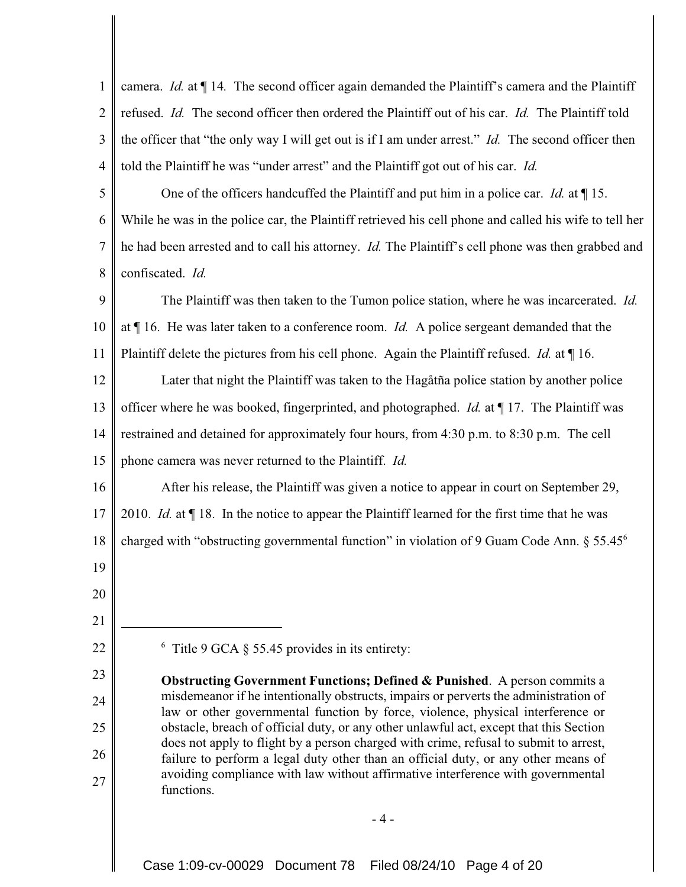1 2 3 4 camera. *Id.* at ¶ 14*.* The second officer again demanded the Plaintiff's camera and the Plaintiff refused. *Id.* The second officer then ordered the Plaintiff out of his car. *Id.* The Plaintiff told the officer that "the only way I will get out is if I am under arrest." *Id.* The second officer then told the Plaintiff he was "under arrest" and the Plaintiff got out of his car. *Id.*

5 6 7 8 One of the officers handcuffed the Plaintiff and put him in a police car. *Id.* at ¶ 15. While he was in the police car, the Plaintiff retrieved his cell phone and called his wife to tell her he had been arrested and to call his attorney. *Id.* The Plaintiff's cell phone was then grabbed and confiscated. *Id.*

9 10 11 The Plaintiff was then taken to the Tumon police station, where he was incarcerated. *Id.* at ¶ 16. He was later taken to a conference room. *Id.* A police sergeant demanded that the Plaintiff delete the pictures from his cell phone. Again the Plaintiff refused. *Id.* at ¶ 16.

12 13 14 15 Later that night the Plaintiff was taken to the Hagåtña police station by another police officer where he was booked, fingerprinted, and photographed. *Id.* at ¶ 17. The Plaintiff was restrained and detained for approximately four hours, from 4:30 p.m. to 8:30 p.m. The cell phone camera was never returned to the Plaintiff. *Id.*

16 After his release, the Plaintiff was given a notice to appear in court on September 29,

17 2010. *Id.* at ¶ 18. In the notice to appear the Plaintiff learned for the first time that he was

18 charged with "obstructing governmental function" in violation of 9 Guam Code Ann. § 55.456

- 19
- 20

21

22

23

24

25

26

27

 $6$  Title 9 GCA § 55.45 provides in its entirety:

**Obstructing Government Functions; Defined & Punished**. A person commits a misdemeanor if he intentionally obstructs, impairs or perverts the administration of law or other governmental function by force, violence, physical interference or obstacle, breach of official duty, or any other unlawful act, except that this Section does not apply to flight by a person charged with crime, refusal to submit to arrest, failure to perform a legal duty other than an official duty, or any other means of avoiding compliance with law without affirmative interference with governmental functions.

 $-4-$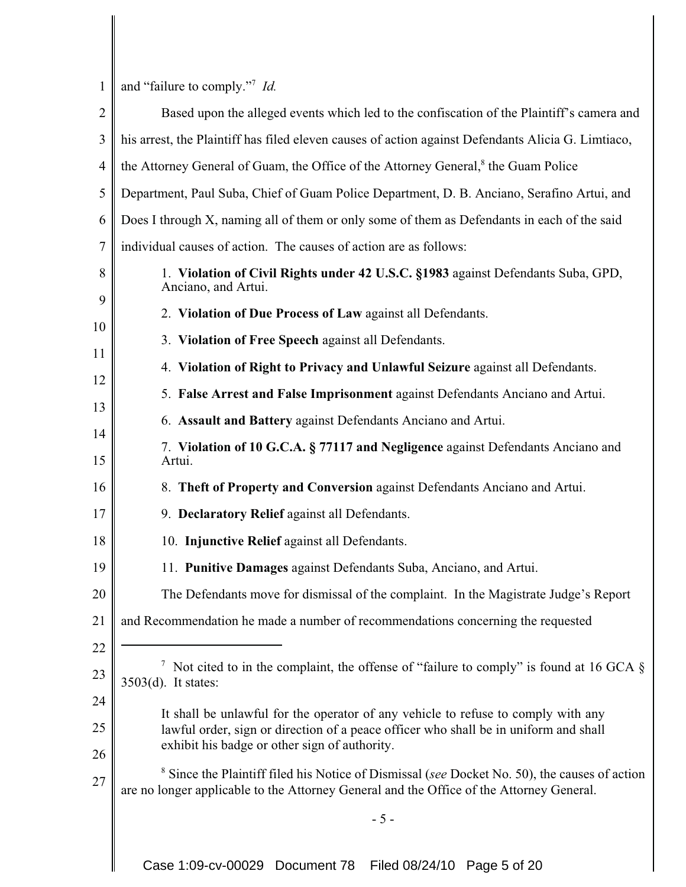1 and "failure to comply."<sup>7</sup> *Id.* 

| $\overline{2}$ | Based upon the alleged events which led to the confiscation of the Plaintiff's camera and                                                                                                            |
|----------------|------------------------------------------------------------------------------------------------------------------------------------------------------------------------------------------------------|
| 3              | his arrest, the Plaintiff has filed eleven causes of action against Defendants Alicia G. Limtiaco,                                                                                                   |
| $\overline{4}$ | the Attorney General of Guam, the Office of the Attorney General, <sup>8</sup> the Guam Police                                                                                                       |
| 5              | Department, Paul Suba, Chief of Guam Police Department, D. B. Anciano, Serafino Artui, and                                                                                                           |
| 6              | Does I through X, naming all of them or only some of them as Defendants in each of the said                                                                                                          |
| 7              | individual causes of action. The causes of action are as follows:                                                                                                                                    |
| 8              | 1. Violation of Civil Rights under 42 U.S.C. §1983 against Defendants Suba, GPD,<br>Anciano, and Artui.                                                                                              |
| 9              | 2. Violation of Due Process of Law against all Defendants.                                                                                                                                           |
| 10             | 3. Violation of Free Speech against all Defendants.                                                                                                                                                  |
| 11             | 4. Violation of Right to Privacy and Unlawful Seizure against all Defendants.                                                                                                                        |
| 12<br>13       | 5. False Arrest and False Imprisonment against Defendants Anciano and Artui.                                                                                                                         |
| 14             | 6. Assault and Battery against Defendants Anciano and Artui.                                                                                                                                         |
| 15             | 7. Violation of 10 G.C.A. § 77117 and Negligence against Defendants Anciano and<br>Artui.                                                                                                            |
| 16             | 8. Theft of Property and Conversion against Defendants Anciano and Artui.                                                                                                                            |
| 17             | 9. Declaratory Relief against all Defendants.                                                                                                                                                        |
| 18             | 10. Injunctive Relief against all Defendants.                                                                                                                                                        |
| 19             | 11. Punitive Damages against Defendants Suba, Anciano, and Artui.                                                                                                                                    |
| 20             | The Defendants move for dismissal of the complaint. In the Magistrate Judge's Report                                                                                                                 |
| 21             | and Recommendation he made a number of recommendations concerning the requested                                                                                                                      |
| 22             |                                                                                                                                                                                                      |
| 23             | <sup>7</sup> Not cited to in the complaint, the offense of "failure to comply" is found at 16 GCA $\S$<br>$3503(d)$ . It states:                                                                     |
| 24             | It shall be unlawful for the operator of any vehicle to refuse to comply with any                                                                                                                    |
| 25             | lawful order, sign or direction of a peace officer who shall be in uniform and shall                                                                                                                 |
| 26             | exhibit his badge or other sign of authority.                                                                                                                                                        |
| 27             | <sup>8</sup> Since the Plaintiff filed his Notice of Dismissal (see Docket No. 50), the causes of action<br>are no longer applicable to the Attorney General and the Office of the Attorney General. |
|                | $-5-$                                                                                                                                                                                                |
|                | Case 1:09-cv-00029 Document 78 Filed 08/24/10 Page 5 of 20                                                                                                                                           |

Case 1:09-cv-00029 Document 78 Filed 08/24/10 Page 5 of 20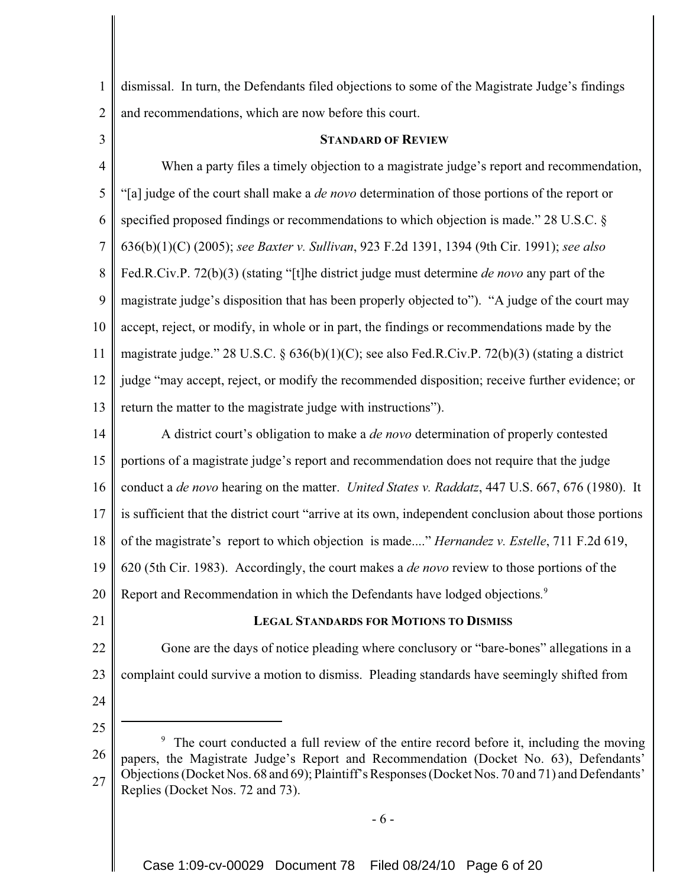1 2 dismissal. In turn, the Defendants filed objections to some of the Magistrate Judge's findings and recommendations, which are now before this court.

3

## **STANDARD OF REVIEW**

4 5 6 7 8 9 10 11 12 13 When a party files a timely objection to a magistrate judge's report and recommendation, "[a] judge of the court shall make a *de novo* determination of those portions of the report or specified proposed findings or recommendations to which objection is made." 28 U.S.C. § 636(b)(1)(C) (2005); *see Baxter v. Sullivan*, 923 F.2d 1391, 1394 (9th Cir. 1991); *see also* Fed.R.Civ.P. 72(b)(3) (stating "[t]he district judge must determine *de novo* any part of the magistrate judge's disposition that has been properly objected to"). "A judge of the court may accept, reject, or modify, in whole or in part, the findings or recommendations made by the magistrate judge." 28 U.S.C. § 636(b)(1)(C); see also Fed.R.Civ.P. 72(b)(3) (stating a district judge "may accept, reject, or modify the recommended disposition; receive further evidence; or return the matter to the magistrate judge with instructions").

14 15 16 17 18 19 20 A district court's obligation to make a *de novo* determination of properly contested portions of a magistrate judge's report and recommendation does not require that the judge conduct a *de novo* hearing on the matter. *United States v. Raddatz*, 447 U.S. 667, 676 (1980). It is sufficient that the district court "arrive at its own, independent conclusion about those portions of the magistrate's report to which objection is made...." *Hernandez v. Estelle*, 711 F.2d 619, 620 (5th Cir. 1983). Accordingly, the court makes a *de novo* review to those portions of the Report and Recommendation in which the Defendants have lodged objections*.* 9

21

# **LEGAL STANDARDS FOR MOTIONS TO DISMISS**

22 23 Gone are the days of notice pleading where conclusory or "bare-bones" allegations in a complaint could survive a motion to dismiss. Pleading standards have seemingly shifted from

24

25

- 6 -

<sup>26</sup> 27 9 The court conducted a full review of the entire record before it, including the moving papers, the Magistrate Judge's Report and Recommendation (Docket No. 63), Defendants' Objections (Docket Nos. 68 and 69); Plaintiff's Responses (Docket Nos. 70 and 71) and Defendants' Replies (Docket Nos. 72 and 73).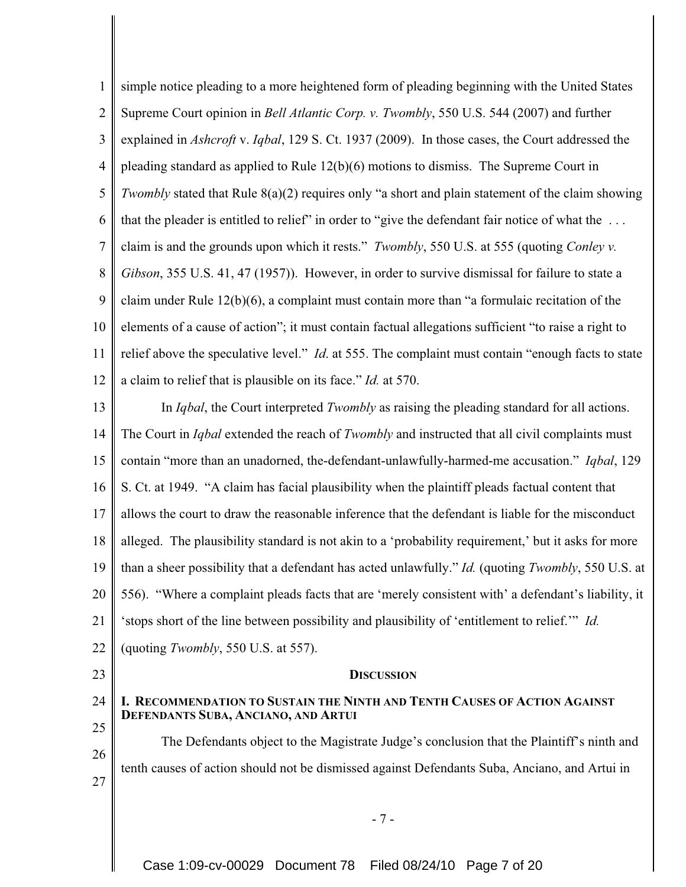1 2 3 4 5 6 7 8 9 10 11 12 simple notice pleading to a more heightened form of pleading beginning with the United States Supreme Court opinion in *Bell Atlantic Corp. v. Twombly*, 550 U.S. 544 (2007) and further explained in *Ashcroft* v. *Iqbal*, 129 S. Ct. 1937 (2009). In those cases, the Court addressed the pleading standard as applied to Rule 12(b)(6) motions to dismiss. The Supreme Court in *Twombly* stated that Rule 8(a)(2) requires only "a short and plain statement of the claim showing that the pleader is entitled to relief" in order to "give the defendant fair notice of what the . . . claim is and the grounds upon which it rests." *Twombly*, 550 U.S. at 555 (quoting *Conley v. Gibson*, 355 U.S. 41, 47 (1957)). However, in order to survive dismissal for failure to state a claim under Rule 12(b)(6), a complaint must contain more than "a formulaic recitation of the elements of a cause of action"; it must contain factual allegations sufficient "to raise a right to relief above the speculative level." *Id*. at 555. The complaint must contain "enough facts to state a claim to relief that is plausible on its face." *Id.* at 570.

- 13 14 15 16 17 18 19 20 21 22 In *Iqbal*, the Court interpreted *Twombly* as raising the pleading standard for all actions. The Court in *Iqbal* extended the reach of *Twombly* and instructed that all civil complaints must contain "more than an unadorned, the-defendant-unlawfully-harmed-me accusation." *Iqbal*, 129 S. Ct. at 1949. "A claim has facial plausibility when the plaintiff pleads factual content that allows the court to draw the reasonable inference that the defendant is liable for the misconduct alleged. The plausibility standard is not akin to a 'probability requirement,' but it asks for more than a sheer possibility that a defendant has acted unlawfully." *Id.* (quoting *Twombly*, 550 U.S. at 556). "Where a complaint pleads facts that are 'merely consistent with' a defendant's liability, it 'stops short of the line between possibility and plausibility of 'entitlement to relief.'" *Id.* (quoting *Twombly*, 550 U.S. at 557).
- 23

24

25

26

27

### **DISCUSSION**

## **I. RECOMMENDATION TO SUSTAIN THE NINTH AND TENTH CAUSES OF ACTION AGAINST DEFENDANTS SUBA, ANCIANO, AND ARTUI**

The Defendants object to the Magistrate Judge's conclusion that the Plaintiff's ninth and tenth causes of action should not be dismissed against Defendants Suba, Anciano, and Artui in

- 7 -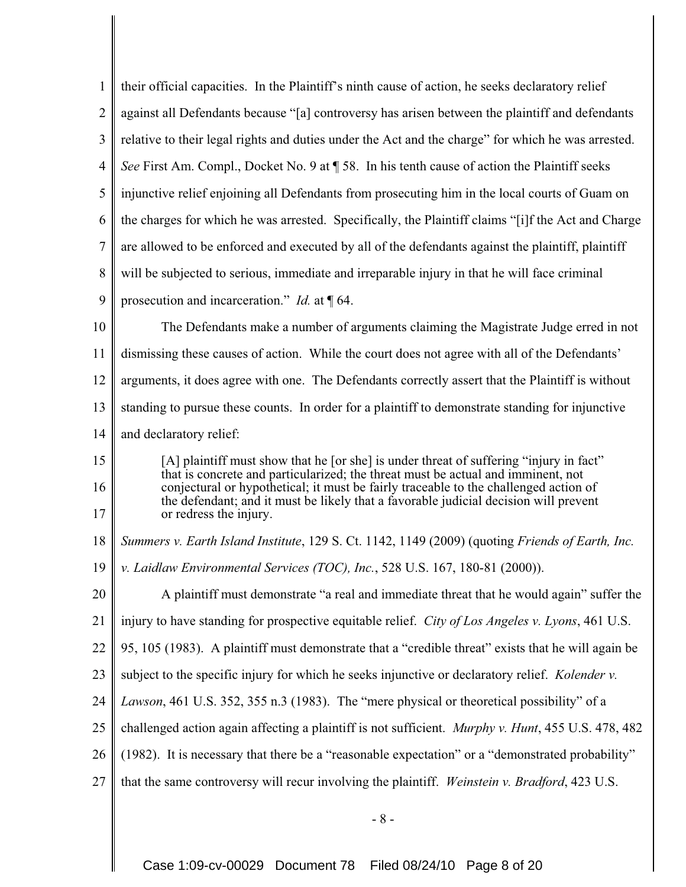| $\mathbf{1}$     | their official capacities. In the Plaintiff's ninth cause of action, he seeks declaratory relief                                                                                                                                                                                           |
|------------------|--------------------------------------------------------------------------------------------------------------------------------------------------------------------------------------------------------------------------------------------------------------------------------------------|
| $\overline{2}$   | against all Defendants because "[a] controversy has arisen between the plaintiff and defendants                                                                                                                                                                                            |
| 3                | relative to their legal rights and duties under the Act and the charge" for which he was arrested.                                                                                                                                                                                         |
| $\overline{4}$   | See First Am. Compl., Docket No. 9 at ¶ 58. In his tenth cause of action the Plaintiff seeks                                                                                                                                                                                               |
| 5                | injunctive relief enjoining all Defendants from prosecuting him in the local courts of Guam on                                                                                                                                                                                             |
| 6                | the charges for which he was arrested. Specifically, the Plaintiff claims "[i]f the Act and Charge                                                                                                                                                                                         |
| $\boldsymbol{7}$ | are allowed to be enforced and executed by all of the defendants against the plaintiff, plaintiff                                                                                                                                                                                          |
| 8                | will be subjected to serious, immediate and irreparable injury in that he will face criminal                                                                                                                                                                                               |
| 9                | prosecution and incarceration." <i>Id.</i> at $\P$ 64.                                                                                                                                                                                                                                     |
| 10               | The Defendants make a number of arguments claiming the Magistrate Judge erred in not                                                                                                                                                                                                       |
| 11               | dismissing these causes of action. While the court does not agree with all of the Defendants'                                                                                                                                                                                              |
| 12               | arguments, it does agree with one. The Defendants correctly assert that the Plaintiff is without                                                                                                                                                                                           |
| 13               | standing to pursue these counts. In order for a plaintiff to demonstrate standing for injunctive                                                                                                                                                                                           |
| 14               | and declaratory relief:                                                                                                                                                                                                                                                                    |
| 15               | [A] plaintiff must show that he [or she] is under threat of suffering "injury in fact"                                                                                                                                                                                                     |
| 16<br>17         | that is concrete and particularized; the threat must be actual and imminent, not<br>conjectural or hypothetical; it must be fairly traceable to the challenged action of<br>the defendant; and it must be likely that a favorable judicial decision will prevent<br>or redress the injury. |
| 18               | Summers v. Earth Island Institute, 129 S. Ct. 1142, 1149 (2009) (quoting Friends of Earth, Inc.                                                                                                                                                                                            |
| 19               | v. Laidlaw Environmental Services (TOC), Inc., 528 U.S. 167, 180-81 (2000)).                                                                                                                                                                                                               |
| 20               | A plaintiff must demonstrate "a real and immediate threat that he would again" suffer the                                                                                                                                                                                                  |
| 21               | injury to have standing for prospective equitable relief. City of Los Angeles v. Lyons, 461 U.S.                                                                                                                                                                                           |
| 22               | 95, 105 (1983). A plaintiff must demonstrate that a "credible threat" exists that he will again be                                                                                                                                                                                         |
| 23               | subject to the specific injury for which he seeks injunctive or declaratory relief. Kolender v.                                                                                                                                                                                            |
| 24               | Lawson, 461 U.S. 352, 355 n.3 (1983). The "mere physical or theoretical possibility" of a                                                                                                                                                                                                  |
| 25               | challenged action again affecting a plaintiff is not sufficient. Murphy v. Hunt, 455 U.S. 478, 482                                                                                                                                                                                         |
| 26               | (1982). It is necessary that there be a "reasonable expectation" or a "demonstrated probability"                                                                                                                                                                                           |
| 27               | that the same controversy will recur involving the plaintiff. Weinstein v. Bradford, 423 U.S.                                                                                                                                                                                              |
|                  |                                                                                                                                                                                                                                                                                            |

- 8 -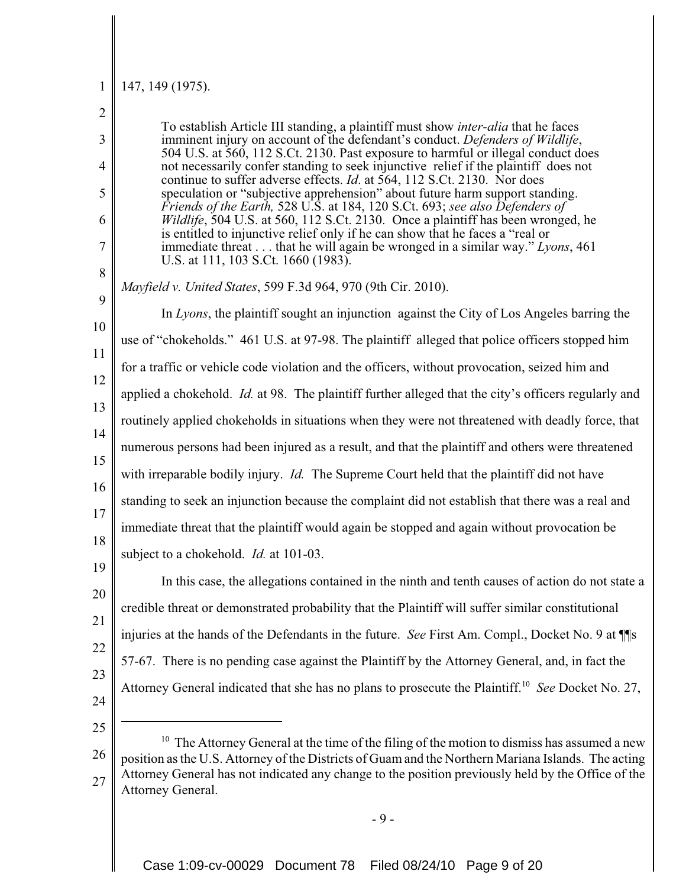#### 1 147, 149 (1975).

| $\overline{2}$ |                                                                                                                                                                                                                                                                                                                                                       |
|----------------|-------------------------------------------------------------------------------------------------------------------------------------------------------------------------------------------------------------------------------------------------------------------------------------------------------------------------------------------------------|
| 3<br>4         | To establish Article III standing, a plaintiff must show <i>inter-alia</i> that he faces<br>imminent injury on account of the defendant's conduct. Defenders of Wildlife,<br>504 U.S. at 560, 112 S.Ct. 2130. Past exposure to harmful or illegal conduct does<br>not necessarily confer standing to seek injunctive relief if the plaintiff does not |
| 5              | continue to suffer adverse effects. Id. at 564, 112 S.Ct. 2130. Nor does<br>speculation or "subjective apprehension" about future harm support standing.                                                                                                                                                                                              |
| 6              | Friends of the Earth, 528 U.S. at 184, 120 S.Ct. 693; see also Defenders of<br><i>Wildlife</i> , 504 U.S. at 560, 112 S.Ct. 2130. Once a plaintiff has been wronged, he                                                                                                                                                                               |
| 7              | is entitled to injunctive relief only if he can show that he faces a "real or<br>immediate threat that he will again be wronged in a similar way." Lyons, $461$<br>U.S. at 111, 103 S.Ct. 1660 (1983).                                                                                                                                                |
| 8              | <i>Mayfield v. United States, 599 F.3d 964, 970 (9th Cir. 2010).</i>                                                                                                                                                                                                                                                                                  |
| 9<br>10        | In Lyons, the plaintiff sought an injunction against the City of Los Angeles barring the                                                                                                                                                                                                                                                              |
| 11             | use of "chokeholds." 461 U.S. at 97-98. The plaintiff alleged that police officers stopped him                                                                                                                                                                                                                                                        |
| 12             | for a traffic or vehicle code violation and the officers, without provocation, seized him and                                                                                                                                                                                                                                                         |
| 13             | applied a chokehold. <i>Id.</i> at 98. The plaintiff further alleged that the city's officers regularly and                                                                                                                                                                                                                                           |
| 14             | routinely applied chokeholds in situations when they were not threatened with deadly force, that                                                                                                                                                                                                                                                      |
| 15             | numerous persons had been injured as a result, and that the plaintiff and others were threatened                                                                                                                                                                                                                                                      |
| 16             | with irreparable bodily injury. <i>Id</i> . The Supreme Court held that the plaintiff did not have                                                                                                                                                                                                                                                    |
| 17             | standing to seek an injunction because the complaint did not establish that there was a real and                                                                                                                                                                                                                                                      |
| 18             | immediate threat that the plaintiff would again be stopped and again without provocation be                                                                                                                                                                                                                                                           |
| 19             | subject to a chokehold. <i>Id.</i> at 101-03.                                                                                                                                                                                                                                                                                                         |
| 20             | In this case, the allegations contained in the ninth and tenth causes of action do not state a                                                                                                                                                                                                                                                        |
| 21             | credible threat or demonstrated probability that the Plaintiff will suffer similar constitutional                                                                                                                                                                                                                                                     |
| 22             | injuries at the hands of the Defendants in the future. See First Am. Compl., Docket No. 9 at \[\]                                                                                                                                                                                                                                                     |
| 23             | 57-67. There is no pending case against the Plaintiff by the Attorney General, and, in fact the                                                                                                                                                                                                                                                       |
| 24             | Attorney General indicated that she has no plans to prosecute the Plaintiff. <sup>10</sup> See Docket No. 27,                                                                                                                                                                                                                                         |
| 25             |                                                                                                                                                                                                                                                                                                                                                       |
| 26             | <sup>10</sup> The Attorney General at the time of the filing of the motion to dismiss has assumed a new                                                                                                                                                                                                                                               |
| 27             | position as the U.S. Attorney of the Districts of Guam and the Northern Mariana Islands. The acting<br>Attorney General has not indicated any change to the position previously held by the Office of the<br>Attorney General.                                                                                                                        |

- 9 -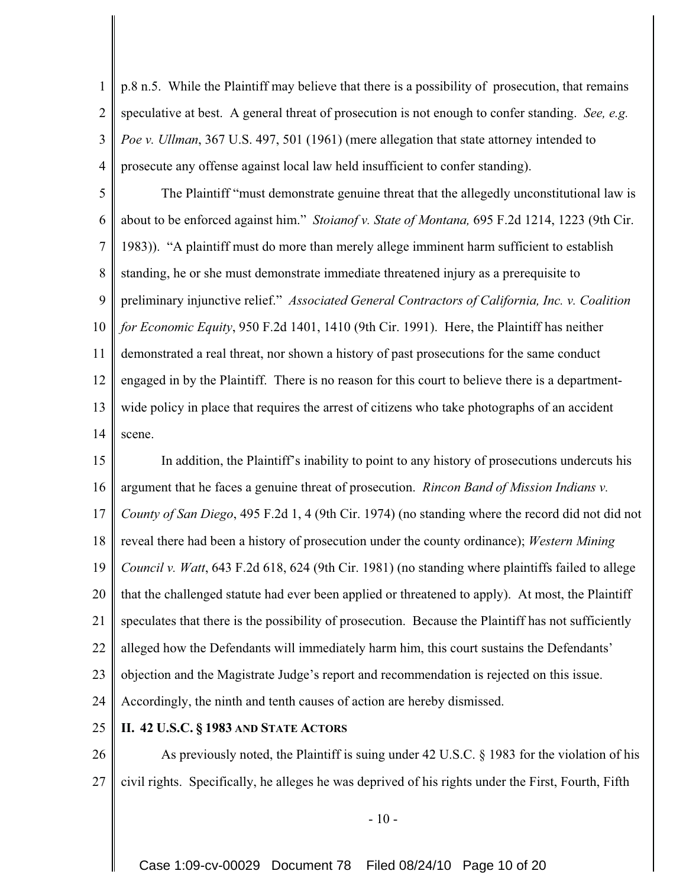1 2 3 4 p.8 n.5. While the Plaintiff may believe that there is a possibility of prosecution, that remains speculative at best. A general threat of prosecution is not enough to confer standing. *See, e.g. Poe v. Ullman*, 367 U.S. 497, 501 (1961) (mere allegation that state attorney intended to prosecute any offense against local law held insufficient to confer standing).

5 6 7 8 9 10 11 12 13 14 The Plaintiff "must demonstrate genuine threat that the allegedly unconstitutional law is about to be enforced against him." *Stoianof v. State of Montana,* 695 F.2d 1214, 1223 (9th Cir. 1983)). "A plaintiff must do more than merely allege imminent harm sufficient to establish standing, he or she must demonstrate immediate threatened injury as a prerequisite to preliminary injunctive relief." *Associated General Contractors of California, Inc. v. Coalition for Economic Equity*, 950 F.2d 1401, 1410 (9th Cir. 1991). Here, the Plaintiff has neither demonstrated a real threat, nor shown a history of past prosecutions for the same conduct engaged in by the Plaintiff. There is no reason for this court to believe there is a departmentwide policy in place that requires the arrest of citizens who take photographs of an accident scene.

15 16 17 18 19 20 21 22 23 24 In addition, the Plaintiff's inability to point to any history of prosecutions undercuts his argument that he faces a genuine threat of prosecution. *Rincon Band of Mission Indians v. County of San Diego*, 495 F.2d 1, 4 (9th Cir. 1974) (no standing where the record did not did not reveal there had been a history of prosecution under the county ordinance); *Western Mining Council v. Watt*, 643 F.2d 618, 624 (9th Cir. 1981) (no standing where plaintiffs failed to allege that the challenged statute had ever been applied or threatened to apply). At most, the Plaintiff speculates that there is the possibility of prosecution. Because the Plaintiff has not sufficiently alleged how the Defendants will immediately harm him, this court sustains the Defendants' objection and the Magistrate Judge's report and recommendation is rejected on this issue. Accordingly, the ninth and tenth causes of action are hereby dismissed.

#### 25 **II. 42 U.S.C. § 1983 AND STATE ACTORS**

26 27 As previously noted, the Plaintiff is suing under 42 U.S.C. § 1983 for the violation of his civil rights. Specifically, he alleges he was deprived of his rights under the First, Fourth, Fifth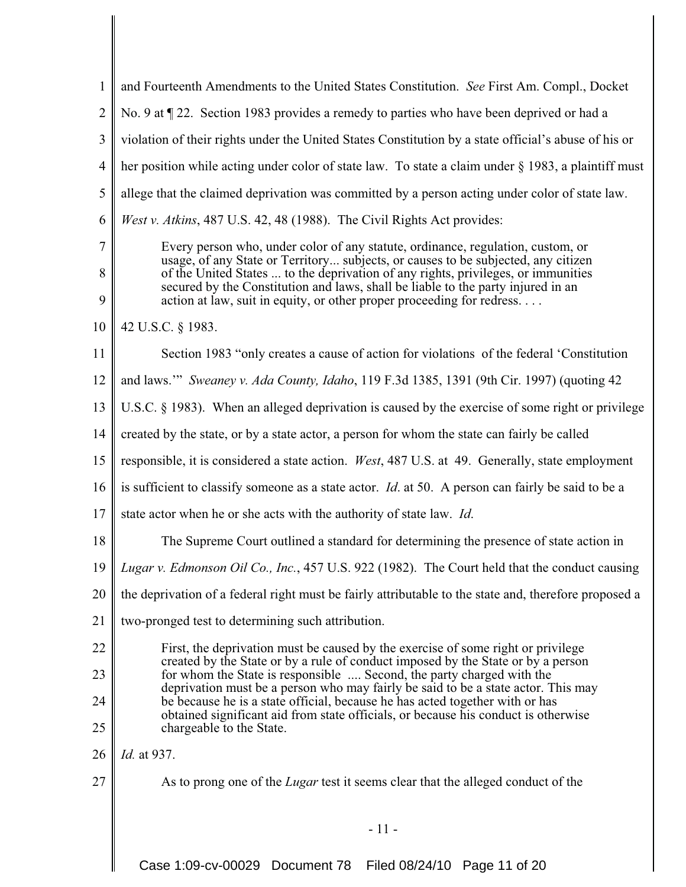| 1                        | and Fourteenth Amendments to the United States Constitution. See First Am. Compl., Docket                                                                                                                                                                                                                                                                                                                              |
|--------------------------|------------------------------------------------------------------------------------------------------------------------------------------------------------------------------------------------------------------------------------------------------------------------------------------------------------------------------------------------------------------------------------------------------------------------|
| $\overline{2}$           | No. 9 at ¶ 22. Section 1983 provides a remedy to parties who have been deprived or had a                                                                                                                                                                                                                                                                                                                               |
| 3                        | violation of their rights under the United States Constitution by a state official's abuse of his or                                                                                                                                                                                                                                                                                                                   |
| $\overline{4}$           | her position while acting under color of state law. To state a claim under § 1983, a plaintiff must                                                                                                                                                                                                                                                                                                                    |
| 5                        | allege that the claimed deprivation was committed by a person acting under color of state law.                                                                                                                                                                                                                                                                                                                         |
| 6                        | <i>West v. Atkins</i> , 487 U.S. 42, 48 (1988). The Civil Rights Act provides:                                                                                                                                                                                                                                                                                                                                         |
| $\overline{7}$<br>8<br>9 | Every person who, under color of any statute, ordinance, regulation, custom, or<br>usage, of any State or Territory subjects, or causes to be subjected, any citizen<br>of the United States  to the deprivation of any rights, privileges, or immunities<br>secured by the Constitution and laws, shall be liable to the party injured in an<br>action at law, suit in equity, or other proper proceeding for redress |
| 10                       | 42 U.S.C. § 1983.                                                                                                                                                                                                                                                                                                                                                                                                      |
| 11                       | Section 1983 "only creates a cause of action for violations of the federal 'Constitution                                                                                                                                                                                                                                                                                                                               |
| 12                       | and laws."" Sweaney v. Ada County, Idaho, 119 F.3d 1385, 1391 (9th Cir. 1997) (quoting 42                                                                                                                                                                                                                                                                                                                              |
| 13                       | U.S.C. § 1983). When an alleged deprivation is caused by the exercise of some right or privilege                                                                                                                                                                                                                                                                                                                       |
| 14                       | created by the state, or by a state actor, a person for whom the state can fairly be called                                                                                                                                                                                                                                                                                                                            |
| 15                       | responsible, it is considered a state action. <i>West</i> , 487 U.S. at 49. Generally, state employment                                                                                                                                                                                                                                                                                                                |
| 16                       | is sufficient to classify someone as a state actor. <i>Id.</i> at 50. A person can fairly be said to be a                                                                                                                                                                                                                                                                                                              |
| 17                       | state actor when he or she acts with the authority of state law. Id.                                                                                                                                                                                                                                                                                                                                                   |
| 18                       | The Supreme Court outlined a standard for determining the presence of state action in                                                                                                                                                                                                                                                                                                                                  |
| 19                       | Lugar v. Edmonson Oil Co., Inc., 457 U.S. 922 (1982). The Court held that the conduct causing                                                                                                                                                                                                                                                                                                                          |
| 20                       | the deprivation of a federal right must be fairly attributable to the state and, therefore proposed a                                                                                                                                                                                                                                                                                                                  |
| 21                       | two-pronged test to determining such attribution.                                                                                                                                                                                                                                                                                                                                                                      |
| 22                       | First, the deprivation must be caused by the exercise of some right or privilege<br>created by the State or by a rule of conduct imposed by the State or by a person                                                                                                                                                                                                                                                   |
| 23                       | for whom the State is responsible  Second, the party charged with the<br>deprivation must be a person who may fairly be said to be a state actor. This may                                                                                                                                                                                                                                                             |
| 24                       | be because he is a state official, because he has acted together with or has<br>obtained significant aid from state officials, or because his conduct is otherwise                                                                                                                                                                                                                                                     |
| 25                       | chargeable to the State.                                                                                                                                                                                                                                                                                                                                                                                               |
| 26                       | Id. at 937.                                                                                                                                                                                                                                                                                                                                                                                                            |
| 27                       | As to prong one of the <i>Lugar</i> test it seems clear that the alleged conduct of the                                                                                                                                                                                                                                                                                                                                |
|                          | $-11-$                                                                                                                                                                                                                                                                                                                                                                                                                 |

I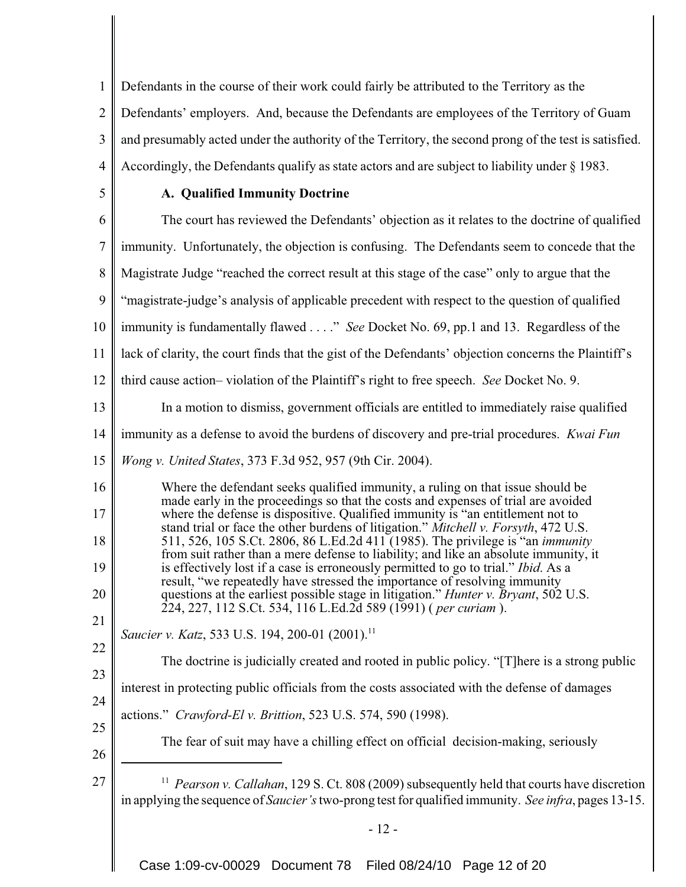1 2 3 4 Defendants in the course of their work could fairly be attributed to the Territory as the Defendants' employers. And, because the Defendants are employees of the Territory of Guam and presumably acted under the authority of the Territory, the second prong of the test is satisfied. Accordingly, the Defendants qualify as state actors and are subject to liability under § 1983.

5

# **A. Qualified Immunity Doctrine**

6 7 8 9 10 11 12 13 14 15 16 17 18 19 20 21 22 23 24 25 26 27 <sup>11</sup> *Pearson v. Callahan*, 129 S. Ct. 808 (2009) subsequently held that courts have discretion in applying the sequence of *Saucier's*two-prong test for qualified immunity. *See infra*, pages 13-15. - 12 - The court has reviewed the Defendants' objection as it relates to the doctrine of qualified immunity. Unfortunately, the objection is confusing. The Defendants seem to concede that the Magistrate Judge "reached the correct result at this stage of the case" only to argue that the "magistrate-judge's analysis of applicable precedent with respect to the question of qualified immunity is fundamentally flawed . . . ." *See* Docket No. 69, pp.1 and 13. Regardless of the lack of clarity, the court finds that the gist of the Defendants' objection concerns the Plaintiff's third cause action– violation of the Plaintiff's right to free speech. *See* Docket No. 9. In a motion to dismiss, government officials are entitled to immediately raise qualified immunity as a defense to avoid the burdens of discovery and pre-trial procedures. *Kwai Fun Wong v. United States*, 373 F.3d 952, 957 (9th Cir. 2004). Where the defendant seeks qualified immunity, a ruling on that issue should be made early in the proceedings so that the costs and expenses of trial are avoided where the defense is dispositive. Qualified immunity is "an entitlement not to stand trial or face the other burdens of litigation." *Mitchell v. Forsyth*, 472 U.S. 511, 526, 105 S.Ct. 2806, 86 L.Ed.2d 411 (1985). The privilege is "an *immunity* from suit rather than a mere defense to liability; and like an absolute immunity, it is effectively lost if a case is erroneously permitted to go to trial." *Ibid*. As a result, "we repeatedly have stressed the importance of resolving immunity questions at the earliest possible stage in litigation." *Hunter v. Bryant*, 502 U.S. 224, 227, 112 S.Ct. 534, 116 L.Ed.2d 589 (1991) ( *per curiam* ). *Saucier v. Katz, 533 U.S. 194, 200-01 (2001).*<sup>11</sup> The doctrine is judicially created and rooted in public policy. "[T]here is a strong public interest in protecting public officials from the costs associated with the defense of damages actions." *Crawford-El v. Brittion*, 523 U.S. 574, 590 (1998). The fear of suit may have a chilling effect on official decision-making, seriously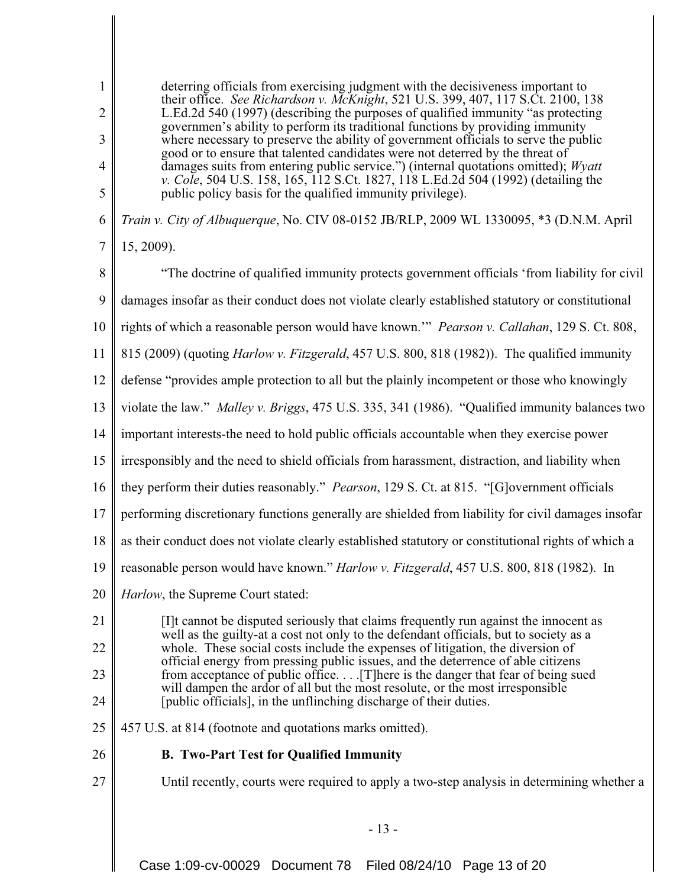deterring officials from exercising judgment with the decisiveness important to their office. *See Richardson v. McKnight*, 521 U.S. 399, 407, 117 S.Ct. 2100, 138 L.Ed.2d 540 (1997) (describing the purposes of qualified immunity "as protecting governmen's ability to perform its traditional functions by providing immunity where necessary to preserve the ability of government officials to serve the public good or to ensure that talented candidates were not deterred by the threat of damages suits from entering public service.") (internal quotations omitted); *Wyatt v. Cole*, 504 U.S. 158, 165, 112 S.Ct. 1827, 118 L.Ed.2d 504 (1992) (detailing the public policy basis for the qualified immunity privilege).

6 *Train v. City of Albuquerque*, No. CIV 08-0152 JB/RLP, 2009 WL 1330095, \*3 (D.N.M. April

```
7
15, 2009).
```
1

2

3

4

5

8 9 "The doctrine of qualified immunity protects government officials 'from liability for civil damages insofar as their conduct does not violate clearly established statutory or constitutional

- 10 rights of which a reasonable person would have known.'" *Pearson v. Callahan*, 129 S. Ct. 808,
- 11 815 (2009) (quoting *Harlow v. Fitzgerald*, 457 U.S. 800, 818 (1982)). The qualified immunity
- 12 defense "provides ample protection to all but the plainly incompetent or those who knowingly
- 13 violate the law." *Malley v. Briggs*, 475 U.S. 335, 341 (1986). "Qualified immunity balances two
- 14 important interests-the need to hold public officials accountable when they exercise power
- 15 irresponsibly and the need to shield officials from harassment, distraction, and liability when
- 16 they perform their duties reasonably." *Pearson*, 129 S. Ct. at 815. "[G]overnment officials
- 17 performing discretionary functions generally are shielded from liability for civil damages insofar
- 18 as their conduct does not violate clearly established statutory or constitutional rights of which a
- 19 reasonable person would have known." *Harlow v. Fitzgerald*, 457 U.S. 800, 818 (1982). In
- 20 *Harlow*, the Supreme Court stated:
- 21 22 23 24 [I]t cannot be disputed seriously that claims frequently run against the innocent as well as the guilty-at a cost not only to the defendant officials, but to society as a whole. These social costs include the expenses of litigation, the diversion of official energy from pressing public issues, and the deterrence of able citizens from acceptance of public office. . . .[T]here is the danger that fear of being sued will dampen the ardor of all but the most resolute, or the most irresponsible [public officials], in the unflinching discharge of their duties.
- 25 457 U.S. at 814 (footnote and quotations marks omitted).
- 26 **B. Two-Part Test for Qualified Immunity**
- 27

Until recently, courts were required to apply a two-step analysis in determining whether a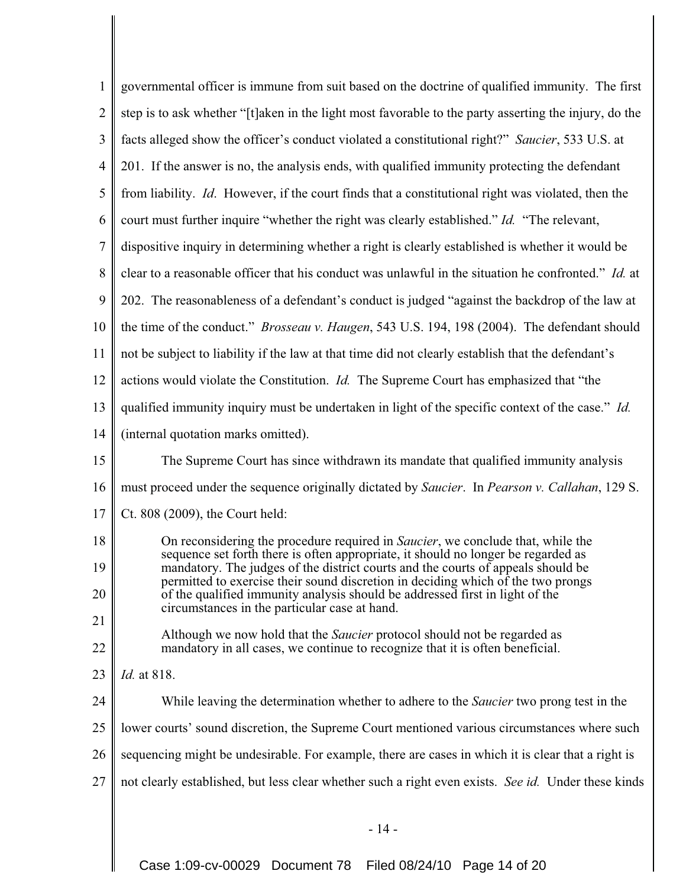| $\mathbf{1}$   | governmental officer is immune from suit based on the doctrine of qualified immunity. The first                                                                                                                                                           |
|----------------|-----------------------------------------------------------------------------------------------------------------------------------------------------------------------------------------------------------------------------------------------------------|
| $\overline{2}$ | step is to ask whether "[t] aken in the light most favorable to the party asserting the injury, do the                                                                                                                                                    |
| 3              | facts alleged show the officer's conduct violated a constitutional right?" Saucier, 533 U.S. at                                                                                                                                                           |
| $\overline{4}$ | 201. If the answer is no, the analysis ends, with qualified immunity protecting the defendant                                                                                                                                                             |
| 5              | from liability. Id. However, if the court finds that a constitutional right was violated, then the                                                                                                                                                        |
| 6              | court must further inquire "whether the right was clearly established." Id. "The relevant,                                                                                                                                                                |
| 7              | dispositive inquiry in determining whether a right is clearly established is whether it would be                                                                                                                                                          |
| 8              | clear to a reasonable officer that his conduct was unlawful in the situation he confronted." Id. at                                                                                                                                                       |
| 9              | 202. The reasonableness of a defendant's conduct is judged "against the backdrop of the law at                                                                                                                                                            |
| 10             | the time of the conduct." <i>Brosseau v. Haugen</i> , 543 U.S. 194, 198 (2004). The defendant should                                                                                                                                                      |
| 11             | not be subject to liability if the law at that time did not clearly establish that the defendant's                                                                                                                                                        |
| 12             | actions would violate the Constitution. <i>Id.</i> The Supreme Court has emphasized that "the                                                                                                                                                             |
| 13             | qualified immunity inquiry must be undertaken in light of the specific context of the case." Id.                                                                                                                                                          |
| 14             | (internal quotation marks omitted).                                                                                                                                                                                                                       |
| 15             | The Supreme Court has since withdrawn its mandate that qualified immunity analysis                                                                                                                                                                        |
| 16             | must proceed under the sequence originally dictated by Saucier. In Pearson v. Callahan, 129 S.                                                                                                                                                            |
| 17             | Ct. 808 (2009), the Court held:                                                                                                                                                                                                                           |
| 18             | On reconsidering the procedure required in <i>Saucier</i> , we conclude that, while the                                                                                                                                                                   |
| 19             | sequence set forth there is often appropriate, it should no longer be regarded as<br>mandatory. The judges of the district courts and the courts of appeals should be<br>permitted to exercise their sound discretion in deciding which of the two prongs |
| 20             | of the qualified immunity analysis should be addressed first in light of the<br>circumstances in the particular case at hand.                                                                                                                             |
| 21             | Although we now hold that the <i>Saucier</i> protocol should not be regarded as                                                                                                                                                                           |
| 22             | mandatory in all cases, we continue to recognize that it is often beneficial.                                                                                                                                                                             |
| 23             | Id. at 818.                                                                                                                                                                                                                                               |
| 24             | While leaving the determination whether to adhere to the <i>Saucier</i> two prong test in the                                                                                                                                                             |
| 25             | lower courts' sound discretion, the Supreme Court mentioned various circumstances where such                                                                                                                                                              |
| 26             | sequencing might be undesirable. For example, there are cases in which it is clear that a right is                                                                                                                                                        |
| 27             | not clearly established, but less clear whether such a right even exists. See id. Under these kinds                                                                                                                                                       |
|                |                                                                                                                                                                                                                                                           |
|                | $-14-$                                                                                                                                                                                                                                                    |

Case 1:09-cv-00029 Document 78 Filed 08/24/10 Page 14 of 20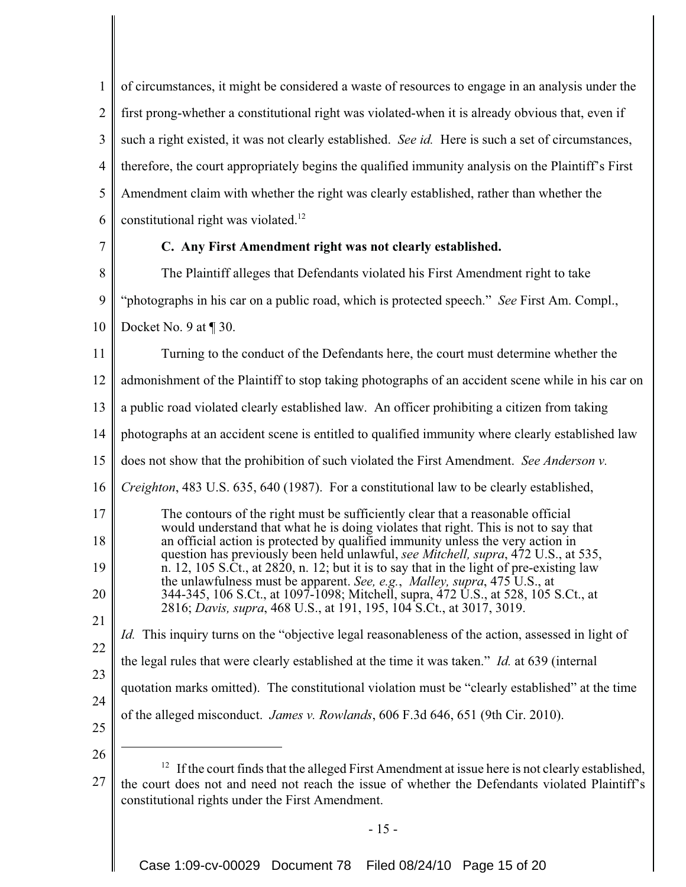1 2 3 4 5 6 of circumstances, it might be considered a waste of resources to engage in an analysis under the first prong-whether a constitutional right was violated-when it is already obvious that, even if such a right existed, it was not clearly established. *See id.* Here is such a set of circumstances, therefore, the court appropriately begins the qualified immunity analysis on the Plaintiff's First Amendment claim with whether the right was clearly established, rather than whether the constitutional right was violated.<sup>12</sup>

7

# **C. Any First Amendment right was not clearly established.**

8 9 10 The Plaintiff alleges that Defendants violated his First Amendment right to take "photographs in his car on a public road, which is protected speech." *See* First Am. Compl., Docket No. 9 at ¶ 30.

11 Turning to the conduct of the Defendants here, the court must determine whether the

12 admonishment of the Plaintiff to stop taking photographs of an accident scene while in his car on

13 a public road violated clearly established law. An officer prohibiting a citizen from taking

14 photographs at an accident scene is entitled to qualified immunity where clearly established law

15 does not show that the prohibition of such violated the First Amendment. *See Anderson v.*

16 *Creighton*, 483 U.S. 635, 640 (1987). For a constitutional law to be clearly established,

17 18 19 20 The contours of the right must be sufficiently clear that a reasonable official would understand that what he is doing violates that right. This is not to say that an official action is protected by qualified immunity unless the very action in question has previously been held unlawful, *see Mitchell, supra*, 472 U.S., at 535, n. 12, 105 S.Ct., at 2820, n. 12; but it is to say that in the light of pre-existing law the unlawfulness must be apparent. *See, e.g.*, *Malley, supra*, 475 U.S., at 344-345, 106 S.Ct., at 1097-1098; Mitchell, supra, 472 U.S., at 528, 105 S.Ct., at

2816; *Davis, supra*, 468 U.S., at 191, 195, 104 S.Ct., at 3017, 3019.

*Id.* This inquiry turns on the "objective legal reasonableness of the action, assessed in light of

23 the legal rules that were clearly established at the time it was taken." *Id.* at 639 (internal

24 quotation marks omitted). The constitutional violation must be "clearly established" at the time

- of the alleged misconduct. *James v. Rowlands*, 606 F.3d 646, 651 (9th Cir. 2010).
- 25

21

22

- 26
- 27  $12$  If the court finds that the alleged First Amendment at issue here is not clearly established, the court does not and need not reach the issue of whether the Defendants violated Plaintiff's constitutional rights under the First Amendment.

- 15 -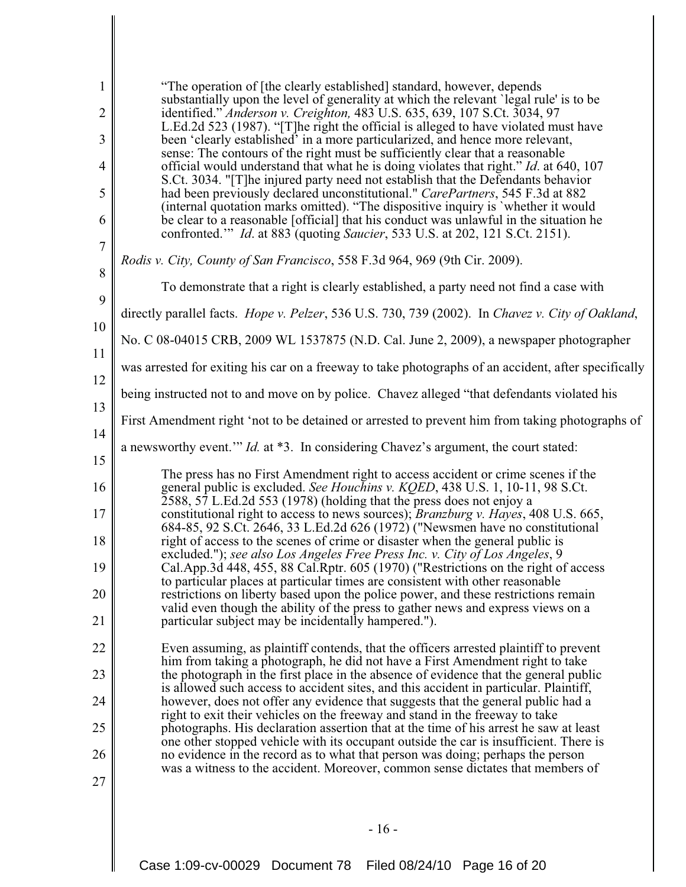| $\mathbf{1}$<br>$\overline{2}$<br>3 | "The operation of [the clearly established] standard, however, depends<br>substantially upon the level of generality at which the relevant 'legal rule' is to be<br>identified." Anderson v. Creighton, 483 U.S. 635, 639, 107 S.Ct. 3034, 97<br>L.Ed.2d 523 (1987). "[T]he right the official is alleged to have violated must have<br>been 'clearly established' in a more particularized, and hence more relevant,<br>sense: The contours of the right must be sufficiently clear that a reasonable |
|-------------------------------------|--------------------------------------------------------------------------------------------------------------------------------------------------------------------------------------------------------------------------------------------------------------------------------------------------------------------------------------------------------------------------------------------------------------------------------------------------------------------------------------------------------|
| 4                                   | official would understand that what he is doing violates that right." Id. at 640, 107<br>S.Ct. 3034. "[T] he injured party need not establish that the Defendants behavior                                                                                                                                                                                                                                                                                                                             |
| 5                                   | had been previously declared unconstitutional." CarePartners, 545 F.3d at 882<br>(internal quotation marks omitted). "The dispositive inquiry is 'whether it would                                                                                                                                                                                                                                                                                                                                     |
| 6                                   | be clear to a reasonable [official] that his conduct was unlawful in the situation he<br>confronted." <i>Id.</i> at 883 (quoting <i>Saucier</i> , 533 U.S. at 202, 121 S.Ct. 2151).                                                                                                                                                                                                                                                                                                                    |
| 7                                   | Rodis v. City, County of San Francisco, 558 F.3d 964, 969 (9th Cir. 2009).                                                                                                                                                                                                                                                                                                                                                                                                                             |
| 8                                   | To demonstrate that a right is clearly established, a party need not find a case with                                                                                                                                                                                                                                                                                                                                                                                                                  |
| 9<br>10                             | directly parallel facts. Hope v. Pelzer, 536 U.S. 730, 739 (2002). In Chavez v. City of Oakland,                                                                                                                                                                                                                                                                                                                                                                                                       |
| 11                                  | No. C 08-04015 CRB, 2009 WL 1537875 (N.D. Cal. June 2, 2009), a newspaper photographer                                                                                                                                                                                                                                                                                                                                                                                                                 |
| 12                                  | was arrested for exiting his car on a freeway to take photographs of an accident, after specifically                                                                                                                                                                                                                                                                                                                                                                                                   |
| 13                                  | being instructed not to and move on by police. Chavez alleged "that defendants violated his                                                                                                                                                                                                                                                                                                                                                                                                            |
| 14                                  | First Amendment right 'not to be detained or arrested to prevent him from taking photographs of                                                                                                                                                                                                                                                                                                                                                                                                        |
| 15                                  | a newsworthy event." <i>Id.</i> at *3. In considering Chavez's argument, the court stated:                                                                                                                                                                                                                                                                                                                                                                                                             |
| 16                                  | The press has no First Amendment right to access accident or crime scenes if the<br>general public is excluded. See Houchins v. KQED, 438 U.S. 1, 10-11, 98 S.Ct.                                                                                                                                                                                                                                                                                                                                      |
| 17                                  | 2588, 57 L.Ed.2d 553 (1978) (holding that the press does not enjoy a<br>constitutional right to access to news sources); <i>Branzburg v. Hayes</i> , 408 U.S. 665,                                                                                                                                                                                                                                                                                                                                     |
| 18                                  | 684-85, 92 S.Ct. 2646, 33 L.Ed.2d 626 (1972) ("Newsmen have no constitutional<br>right of access to the scenes of crime or disaster when the general public is                                                                                                                                                                                                                                                                                                                                         |
| 19                                  | excluded."); see also Los Angeles Free Press Inc. v. City of Los Angeles, 9<br>Cal.App.3d 448, 455, 88 Cal.Rptr. 605 (1970) ("Restrictions on the right of access                                                                                                                                                                                                                                                                                                                                      |
| 20                                  | to particular places at particular times are consistent with other reasonable<br>restrictions on liberty based upon the police power, and these restrictions remain<br>valid even though the ability of the press to gather news and express views on a                                                                                                                                                                                                                                                |
| 21                                  | particular subject may be incidentally hampered.").                                                                                                                                                                                                                                                                                                                                                                                                                                                    |
| 22                                  | Even assuming, as plaintiff contends, that the officers arrested plaintiff to prevent<br>him from taking a photograph, he did not have a First Amendment right to take                                                                                                                                                                                                                                                                                                                                 |
| 23                                  | the photograph in the first place in the absence of evidence that the general public<br>is allowed such access to accident sites, and this accident in particular. Plaintiff,                                                                                                                                                                                                                                                                                                                          |
| 24                                  | however, does not offer any evidence that suggests that the general public had a<br>right to exit their vehicles on the freeway and stand in the freeway to take                                                                                                                                                                                                                                                                                                                                       |
| 25                                  | photographs. His declaration assertion that at the time of his arrest he saw at least<br>one other stopped vehicle with its occupant outside the car is insufficient. There is                                                                                                                                                                                                                                                                                                                         |
| 26                                  | no evidence in the record as to what that person was doing; perhaps the person<br>was a witness to the accident. Moreover, common sense dictates that members of                                                                                                                                                                                                                                                                                                                                       |
| 27                                  |                                                                                                                                                                                                                                                                                                                                                                                                                                                                                                        |
|                                     | $-16-$                                                                                                                                                                                                                                                                                                                                                                                                                                                                                                 |

Case 1:09-cv-00029 Document 78 Filed 08/24/10 Page 16 of 20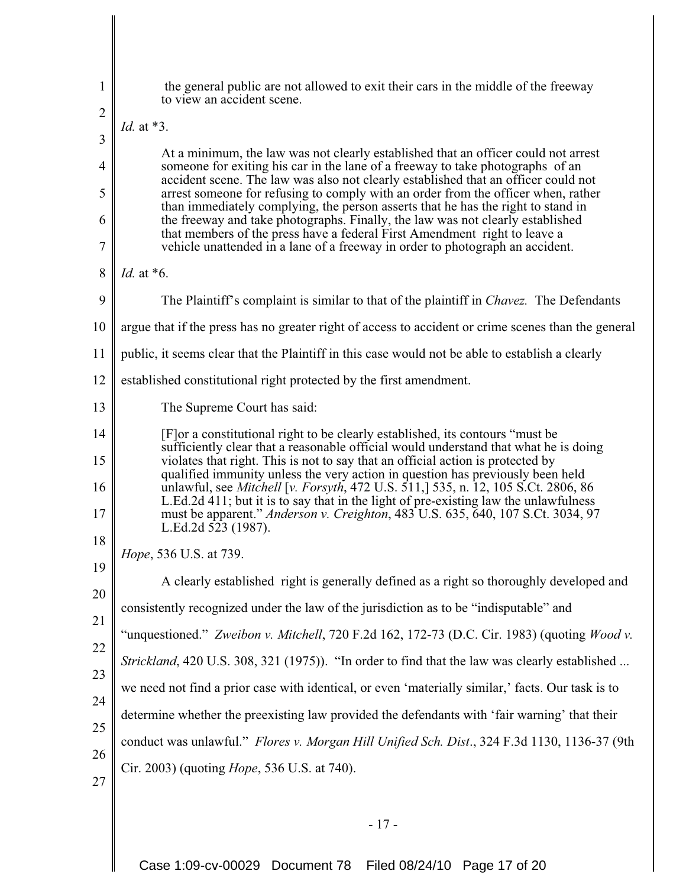| $\mathbf{1}$   | the general public are not allowed to exit their cars in the middle of the freeway<br>to view an accident scene.                                                           |
|----------------|----------------------------------------------------------------------------------------------------------------------------------------------------------------------------|
| $\overline{2}$ | Id. at *3.                                                                                                                                                                 |
| 3              | At a minimum, the law was not clearly established that an officer could not arrest                                                                                         |
| $\overline{4}$ | someone for exiting his car in the lane of a freeway to take photographs of an<br>accident scene. The law was also not clearly established that an officer could not       |
| 5              | arrest someone for refusing to comply with an order from the officer when, rather<br>than immediately complying, the person asserts that he has the right to stand in      |
| 6              | the freeway and take photographs. Finally, the law was not clearly established<br>that members of the press have a federal First Amendment right to leave a                |
| 7              | vehicle unattended in a lane of a freeway in order to photograph an accident.                                                                                              |
| 8              | <i>Id.</i> at $*6$ .                                                                                                                                                       |
| 9              | The Plaintiff's complaint is similar to that of the plaintiff in <i>Chavez</i> . The Defendants                                                                            |
| 10             | argue that if the press has no greater right of access to accident or crime scenes than the general                                                                        |
| 11             | public, it seems clear that the Plaintiff in this case would not be able to establish a clearly                                                                            |
| 12             | established constitutional right protected by the first amendment.                                                                                                         |
| 13             | The Supreme Court has said:                                                                                                                                                |
| 14             | [F] or a constitutional right to be clearly established, its contours "must be                                                                                             |
| 15             | sufficiently clear that a reasonable official would understand that what he is doing<br>violates that right. This is not to say that an official action is protected by    |
| 16             | qualified immunity unless the very action in question has previously been held<br>unlawful, see <i>Mitchell</i> [v. Forsyth, 472 U.S. 511,] 535, n. 12, 105 S.Ct. 2806, 86 |
| 17             | L.Ed.2d 411; but it is to say that in the light of pre-existing law the unlawfulness<br>must be apparent." Anderson v. Creighton, 483 U.S. 635, 640, 107 S.Ct. 3034, 97    |
| 18             | L.Ed.2d 523 (1987).                                                                                                                                                        |
| 19             | <i>Hope</i> , 536 U.S. at 739.                                                                                                                                             |
| 20             | A clearly established right is generally defined as a right so thoroughly developed and                                                                                    |
| 21             | consistently recognized under the law of the jurisdiction as to be "indisputable" and                                                                                      |
| 22             | "unquestioned." Zweibon v. Mitchell, 720 F.2d 162, 172-73 (D.C. Cir. 1983) (quoting Wood v.                                                                                |
| 23             | Strickland, 420 U.S. 308, 321 (1975)). "In order to find that the law was clearly established                                                                              |
| 24             | we need not find a prior case with identical, or even 'materially similar,' facts. Our task is to                                                                          |
| 25             | determine whether the preexisting law provided the defendants with 'fair warning' that their                                                                               |
| 26             | conduct was unlawful." Flores v. Morgan Hill Unified Sch. Dist., 324 F.3d 1130, 1136-37 (9th                                                                               |
| 27             | Cir. 2003) (quoting <i>Hope</i> , 536 U.S. at 740).                                                                                                                        |
|                |                                                                                                                                                                            |
|                | $-17-$                                                                                                                                                                     |
|                |                                                                                                                                                                            |

Case 1:09-cv-00029 Document 78 Filed 08/24/10 Page 17 of 20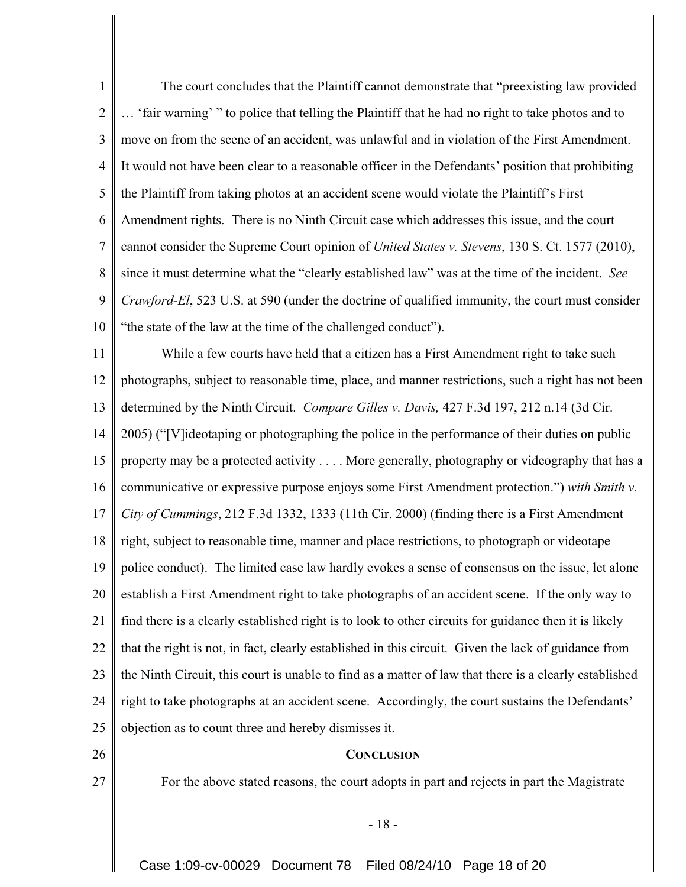1 2 3 4 5 6 7 8 9 10 The court concludes that the Plaintiff cannot demonstrate that "preexisting law provided … 'fair warning' " to police that telling the Plaintiff that he had no right to take photos and to move on from the scene of an accident, was unlawful and in violation of the First Amendment. It would not have been clear to a reasonable officer in the Defendants' position that prohibiting the Plaintiff from taking photos at an accident scene would violate the Plaintiff's First Amendment rights. There is no Ninth Circuit case which addresses this issue, and the court cannot consider the Supreme Court opinion of *United States v. Stevens*, 130 S. Ct. 1577 (2010), since it must determine what the "clearly established law" was at the time of the incident. *See Crawford-El*, 523 U.S. at 590 (under the doctrine of qualified immunity, the court must consider "the state of the law at the time of the challenged conduct").

11 12 13 14 15 16 17 18 19 20 21 22 23 24 25 While a few courts have held that a citizen has a First Amendment right to take such photographs, subject to reasonable time, place, and manner restrictions, such a right has not been determined by the Ninth Circuit. *Compare Gilles v. Davis,* 427 F.3d 197, 212 n.14 (3d Cir. 2005) ("[V]ideotaping or photographing the police in the performance of their duties on public property may be a protected activity . . . . More generally, photography or videography that has a communicative or expressive purpose enjoys some First Amendment protection.") *with Smith v. City of Cummings*, 212 F.3d 1332, 1333 (11th Cir. 2000) (finding there is a First Amendment right, subject to reasonable time, manner and place restrictions, to photograph or videotape police conduct). The limited case law hardly evokes a sense of consensus on the issue, let alone establish a First Amendment right to take photographs of an accident scene. If the only way to find there is a clearly established right is to look to other circuits for guidance then it is likely that the right is not, in fact, clearly established in this circuit. Given the lack of guidance from the Ninth Circuit, this court is unable to find as a matter of law that there is a clearly established right to take photographs at an accident scene. Accordingly, the court sustains the Defendants' objection as to count three and hereby dismisses it.

- 26
- 27

For the above stated reasons, the court adopts in part and rejects in part the Magistrate

- 18 -

**CONCLUSION**

Case 1:09-cv-00029 Document 78 Filed 08/24/10 Page 18 of 20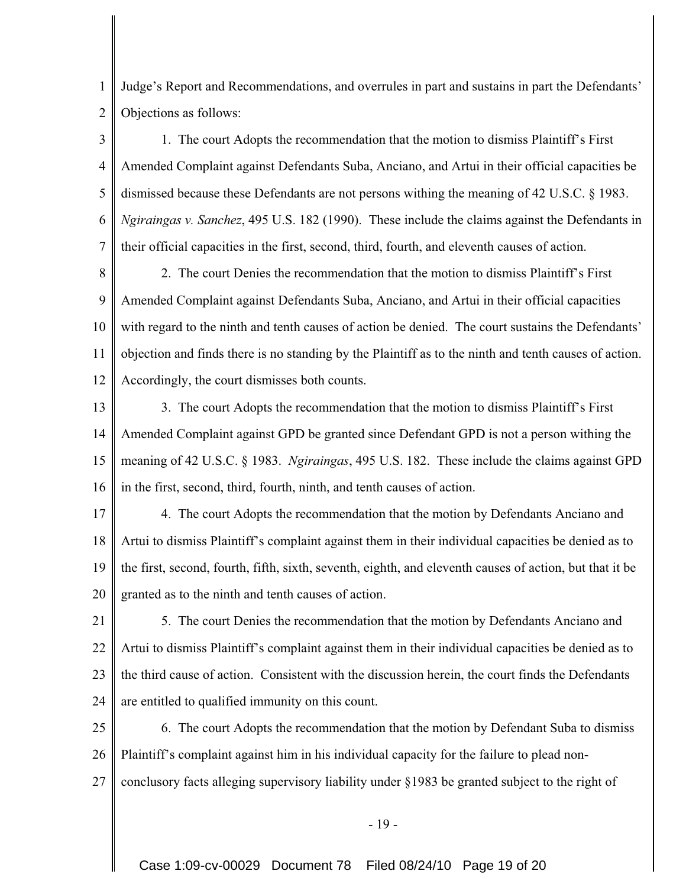1 2 Judge's Report and Recommendations, and overrules in part and sustains in part the Defendants' Objections as follows:

3 4 5 6 7 1. The court Adopts the recommendation that the motion to dismiss Plaintiff's First Amended Complaint against Defendants Suba, Anciano, and Artui in their official capacities be dismissed because these Defendants are not persons withing the meaning of 42 U.S.C. § 1983. *Ngiraingas v. Sanchez*, 495 U.S. 182 (1990). These include the claims against the Defendants in their official capacities in the first, second, third, fourth, and eleventh causes of action.

8 9 10 11 12 2. The court Denies the recommendation that the motion to dismiss Plaintiff's First Amended Complaint against Defendants Suba, Anciano, and Artui in their official capacities with regard to the ninth and tenth causes of action be denied. The court sustains the Defendants' objection and finds there is no standing by the Plaintiff as to the ninth and tenth causes of action. Accordingly, the court dismisses both counts.

13 14 15 16 3. The court Adopts the recommendation that the motion to dismiss Plaintiff's First Amended Complaint against GPD be granted since Defendant GPD is not a person withing the meaning of 42 U.S.C. § 1983. *Ngiraingas*, 495 U.S. 182. These include the claims against GPD in the first, second, third, fourth, ninth, and tenth causes of action.

17 18 19 20 4. The court Adopts the recommendation that the motion by Defendants Anciano and Artui to dismiss Plaintiff's complaint against them in their individual capacities be denied as to the first, second, fourth, fifth, sixth, seventh, eighth, and eleventh causes of action, but that it be granted as to the ninth and tenth causes of action.

21 22 23 24 5. The court Denies the recommendation that the motion by Defendants Anciano and Artui to dismiss Plaintiff's complaint against them in their individual capacities be denied as to the third cause of action. Consistent with the discussion herein, the court finds the Defendants are entitled to qualified immunity on this count.

25 26 27 6. The court Adopts the recommendation that the motion by Defendant Suba to dismiss Plaintiff's complaint against him in his individual capacity for the failure to plead nonconclusory facts alleging supervisory liability under §1983 be granted subject to the right of

- 19 -

Case 1:09-cv-00029 Document 78 Filed 08/24/10 Page 19 of 20